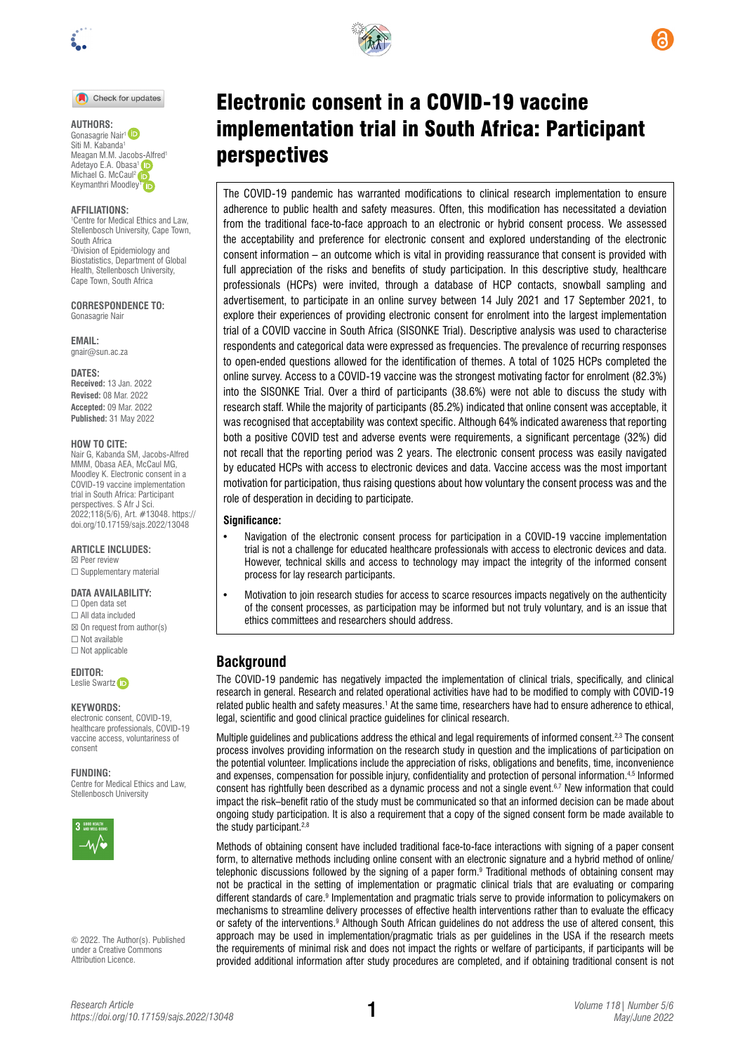

Check for updates

#### **AUTHORS:**

Gonasagrie Nair<sup>1</sup><br>Siti M. Kabanda<sup>1</sup> Meagan M.M. Jaco[bs-Alfr](https://orcid.org/0000-0003-0934-9586)ed<sup>1</sup> Adetayo E.A. Obasa<sup>1</sup> Michael G. McCaul<sup>2</sup> K[ey](https://orcid.org/0000-0002-2730-6478)manthri Moodley

#### **AFFILIATIONS:**

1 Centre for Medical Ethics and Law, Stellenbosch University, Cape Town, South Africa 2 Division of Epidemiology and Biostatistics, Department of Global Health, Stellenbosch University, Cape Town, South Africa

**CORRESPONDENCE TO:**  Gonasagrie Nair

**EMAIL:**  [gnair@sun.ac.za](mailto:gnair@sun.ac.za)

**DATES:**

**Received:** 13 Jan. 2022 **Revised:** 08 Mar. 2022 **Accepted:** 09 Mar. 2022 **Published:** 31 May 2022

#### **HOW TO CITE:**

Nair G, Kabanda SM, Jacobs-Alfred MMM, Obasa AEA, McCaul MG, Moodley K. Electronic consent in a COVID-19 vaccine implementation trial in South Africa: Participant perspectives. S Afr J Sci. 2022;118(5/6), Art. #13048. [https://](https://doi.org/10.17159/sajs.2022/13048) [doi.org/10.17159/sajs.2022/13048](https://doi.org/10.17159/sajs.2022/13048)

**ARTICLE INCLUDES:** ☒ Peer review □ Supplementary material

#### **DATA AVAILABILITY:**

☐ Open data set ☐ All data included  $\boxtimes$  On request from author(s) ☐ Not available ☐ Not applicable

**EDITOR:** 

Leslie Swart[z](https://orcid.org/0000-0003-1741-5897) **D** 

#### **KEYWORDS:**

electronic consent, COVID-19 healthcare professionals, COVID-19 vaccine access, voluntariness of consent

#### **FUNDING:**

Centre for Medical Ethics and Law, Stellenbosch University



© 2022. The Author(s). Published under a [Creative Commons](https://creativecommons.org/licenses/by/4.0/)  [Attribution Licence.](https://creativecommons.org/licenses/by/4.0/)



# Electronic consent in a COVID-19 vaccine implementation trial in South Africa: Participant perspectives

The COVID-19 pandemic has warranted modifications to clinical research implementation to ensure adherence to public health and safety measures. Often, this modification has necessitated a deviation from the traditional face-to-face approach to an electronic or hybrid consent process. We assessed the acceptability and preference for electronic consent and explored understanding of the electronic consent information – an outcome which is vital in providing reassurance that consent is provided with full appreciation of the risks and benefits of study participation. In this descriptive study, healthcare professionals (HCPs) were invited, through a database of HCP contacts, snowball sampling and advertisement, to participate in an online survey between 14 July 2021 and 17 September 2021, to explore their experiences of providing electronic consent for enrolment into the largest implementation trial of a COVID vaccine in South Africa (SISONKE Trial). Descriptive analysis was used to characterise respondents and categorical data were expressed as frequencies. The prevalence of recurring responses to open-ended questions allowed for the identification of themes. A total of 1025 HCPs completed the online survey. Access to a COVID-19 vaccine was the strongest motivating factor for enrolment (82.3%) into the SISONKE Trial. Over a third of participants (38.6%) were not able to discuss the study with research staff. While the majority of participants (85.2%) indicated that online consent was acceptable, it was recognised that acceptability was context specific. Although 64% indicated awareness that reporting both a positive COVID test and adverse events were requirements, a significant percentage (32%) did not recall that the reporting period was 2 years. The electronic consent process was easily navigated by educated HCPs with access to electronic devices and data. Vaccine access was the most important motivation for participation, thus raising questions about how voluntary the consent process was and the role of desperation in deciding to participate.

#### **Significance:**

- Navigation of the electronic consent process for participation in a COVID-19 vaccine implementation trial is not a challenge for educated healthcare professionals with access to electronic devices and data. However, technical skills and access to technology may impact the integrity of the informed consent process for lay research participants.
- Motivation to join research studies for access to scarce resources impacts negatively on the authenticity of the consent processes, as participation may be informed but not truly voluntary, and is an issue that ethics committees and researchers should address.

# **Background**

The COVID-19 pandemic has negatively impacted the implementation of clinical trials, specifically, and clinical research in general. Research and related operational activities have had to be modified to comply with COVID-19 related public health and safety measures.<sup>1</sup> At the same time, researchers have had to ensure adherence to ethical, legal, scientific and good clinical practice guidelines for clinical research.

Multiple quidelines and publications address the ethical and legal requirements of informed consent.<sup>2,3</sup> The consent process involves providing information on the research study in question and the implications of participation on the potential volunteer. Implications include the appreciation of risks, obligations and benefits, time, inconvenience and expenses, compensation for possible injury, confidentiality and protection of personal information.4,5 Informed consent has rightfully been described as a dynamic process and not a single event.<sup>6,7</sup> New information that could impact the risk–benefit ratio of the study must be communicated so that an informed decision can be made about ongoing study participation. It is also a requirement that a copy of the signed consent form be made available to the study participant.<sup>2,8</sup>

Methods of obtaining consent have included traditional face-to-face interactions with signing of a paper consent form, to alternative methods including online consent with an electronic signature and a hybrid method of online/ telephonic discussions followed by the signing of a paper form.<sup>9</sup> Traditional methods of obtaining consent may not be practical in the setting of implementation or pragmatic clinical trials that are evaluating or comparing different standards of care.9 Implementation and pragmatic trials serve to provide information to policymakers on mechanisms to streamline delivery processes of effective health interventions rather than to evaluate the efficacy or safety of the interventions.<sup>9</sup> Although South African guidelines do not address the use of altered consent, this approach may be used in implementation/pragmatic trials as per guidelines in the USA if the research meets the requirements of minimal risk and does not impact the rights or welfare of participants, if participants will be provided additional information after study procedures are completed, and if obtaining traditional consent is not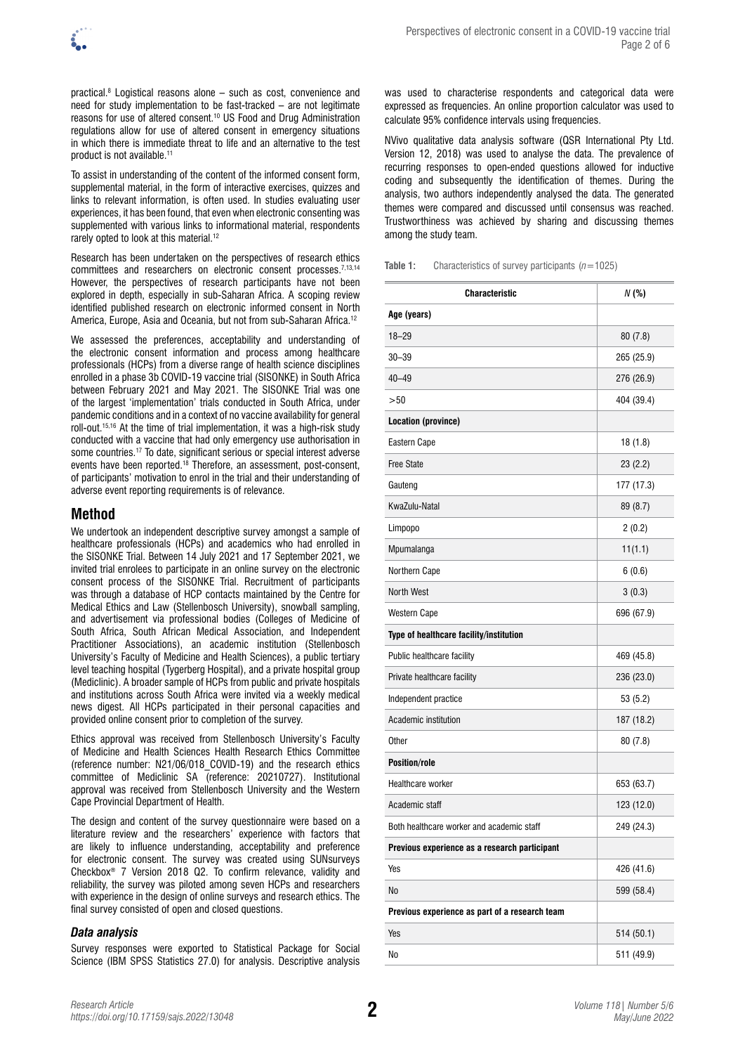

practical.8 Logistical reasons alone – such as cost, convenience and need for study implementation to be fast-tracked – are not legitimate reasons for use of altered consent.10 US Food and Drug Administration regulations allow for use of altered consent in emergency situations in which there is immediate threat to life and an alternative to the test product is not available.<sup>11</sup>

To assist in understanding of the content of the informed consent form, supplemental material, in the form of interactive exercises, quizzes and links to relevant information, is often used. In studies evaluating user experiences, it has been found, that even when electronic consenting was supplemented with various links to informational material, respondents rarely opted to look at this material.12

Research has been undertaken on the perspectives of research ethics committees and researchers on electronic consent processes.<sup>7,13,14</sup> However, the perspectives of research participants have not been explored in depth, especially in sub-Saharan Africa. A scoping review identified published research on electronic informed consent in North America, Europe, Asia and Oceania, but not from sub-Saharan Africa.12

We assessed the preferences, acceptability and understanding of the electronic consent information and process among healthcare professionals (HCPs) from a diverse range of health science disciplines enrolled in a phase 3b COVID-19 vaccine trial (SISONKE) in South Africa between February 2021 and May 2021. The SISONKE Trial was one of the largest 'implementation' trials conducted in South Africa, under pandemic conditions and in a context of no vaccine availability for general roll-out.15,16 At the time of trial implementation, it was a high-risk study conducted with a vaccine that had only emergency use authorisation in some countries.17 To date, significant serious or special interest adverse events have been reported.18 Therefore, an assessment, post-consent, of participants' motivation to enrol in the trial and their understanding of adverse event reporting requirements is of relevance.

# **Method**

We undertook an independent descriptive survey amongst a sample of healthcare professionals (HCPs) and academics who had enrolled in the SISONKE Trial. Between 14 July 2021 and 17 September 2021, we invited trial enrolees to participate in an online survey on the electronic consent process of the SISONKE Trial. Recruitment of participants was through a database of HCP contacts maintained by the Centre for Medical Ethics and Law (Stellenbosch University), snowball sampling, and advertisement via professional bodies (Colleges of Medicine of South Africa, South African Medical Association, and Independent Practitioner Associations), an academic institution (Stellenbosch University's Faculty of Medicine and Health Sciences), a public tertiary level teaching hospital (Tygerberg Hospital), and a private hospital group (Mediclinic). A broader sample of HCPs from public and private hospitals and institutions across South Africa were invited via a weekly medical news digest. All HCPs participated in their personal capacities and provided online consent prior to completion of the survey.

Ethics approval was received from Stellenbosch University's Faculty of Medicine and Health Sciences Health Research Ethics Committee (reference number: N21/06/018\_COVID-19) and the research ethics committee of Mediclinic SA (reference: 20210727). Institutional approval was received from Stellenbosch University and the Western Cape Provincial Department of Health.

The design and content of the survey questionnaire were based on a literature review and the researchers' experience with factors that are likely to influence understanding, acceptability and preference for electronic consent. The survey was created using SUNsurveys Checkbox® 7 Version 2018 Q2. To confirm relevance, validity and reliability, the survey was piloted among seven HCPs and researchers with experience in the design of online surveys and research ethics. The final survey consisted of open and closed questions.

## *Data analysis*

Survey responses were exported to Statistical Package for Social Science (IBM SPSS Statistics 27.0) for analysis. Descriptive analysis was used to characterise respondents and categorical data were expressed as frequencies. An online proportion calculator was used to calculate 95% confidence intervals using frequencies.

NVivo qualitative data analysis software (QSR International Pty Ltd. Version 12, 2018) was used to analyse the data. The prevalence of recurring responses to open-ended questions allowed for inductive coding and subsequently the identification of themes. During the analysis, two authors independently analysed the data. The generated themes were compared and discussed until consensus was reached. Trustworthiness was achieved by sharing and discussing themes among the study team.

**Table 1:** Characteristics of survey participants (*n*=1025)

| <b>Characteristic</b>                          | N (%)      |
|------------------------------------------------|------------|
| Age (years)                                    |            |
| $18 - 29$                                      | 80(7.8)    |
| $30 - 39$                                      | 265 (25.9) |
| $40 - 49$                                      | 276 (26.9) |
| > 50                                           | 404 (39.4) |
| Location (province)                            |            |
| Eastern Cape                                   | 18(1.8)    |
| <b>Free State</b>                              | 23(2.2)    |
| Gauteng                                        | 177 (17.3) |
| KwaZulu-Natal                                  | 89 (8.7)   |
| Limpopo                                        | 2(0.2)     |
| Mpumalanga                                     | 11(1.1)    |
| Northern Cape                                  | 6(0.6)     |
| <b>North West</b>                              | 3(0.3)     |
| <b>Western Cape</b>                            | 696 (67.9) |
| Type of healthcare facility/institution        |            |
| Public healthcare facility                     | 469 (45.8) |
| Private healthcare facility                    | 236 (23.0) |
| Independent practice                           | 53(5.2)    |
| Academic institution                           | 187 (18.2) |
| Other                                          | 80(7.8)    |
| <b>Position/role</b>                           |            |
| <b>Healthcare worker</b>                       | 653 (63.7) |
| Academic staff                                 | 123 (12.0) |
| Both healthcare worker and academic staff      | 249 (24.3) |
| Previous experience as a research participant  |            |
| Yes                                            | 426 (41.6) |
| No                                             | 599 (58.4) |
| Previous experience as part of a research team |            |
| Yes                                            | 514 (50.1) |
| No                                             | 511 (49.9) |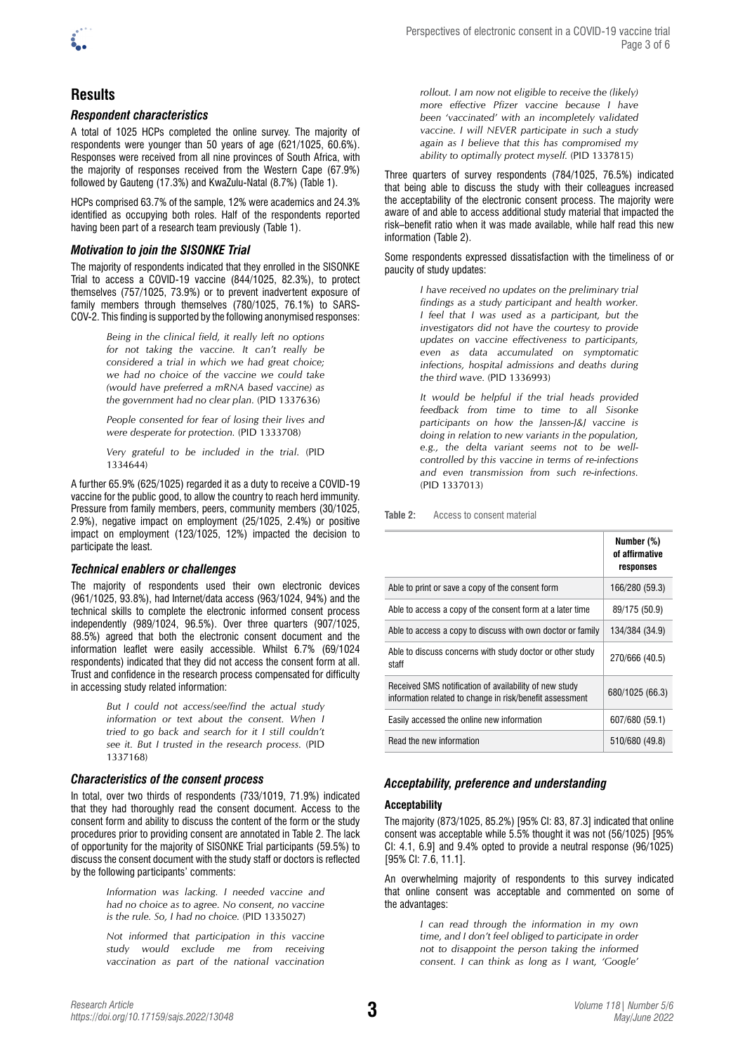

# **Results**

## *Respondent characteristics*

A total of 1025 HCPs completed the online survey. The majority of respondents were younger than 50 years of age (621/1025, 60.6%). Responses were received from all nine provinces of South Africa, with the majority of responses received from the Western Cape (67.9%) followed by Gauteng (17.3%) and KwaZulu-Natal (8.7%) (Table 1).

HCPs comprised 63.7% of the sample, 12% were academics and 24.3% identified as occupying both roles. Half of the respondents reported having been part of a research team previously (Table 1).

## *Motivation to join the SISONKE Trial*

The majority of respondents indicated that they enrolled in the SISONKE Trial to access a COVID-19 vaccine (844/1025, 82.3%), to protect themselves (757/1025, 73.9%) or to prevent inadvertent exposure of family members through themselves (780/1025, 76.1%) to SARS-COV-2. This finding is supported by the following anonymised responses:

> *Being in the clinical field, it really left no options for not taking the vaccine. It can't really be considered a trial in which we had great choice; we had no choice of the vaccine we could take (would have preferred a mRNA based vaccine) as the government had no clear plan.* (PID 1337636)

> *People consented for fear of losing their lives and were desperate for protection.* (PID 1333708)

> *Very grateful to be included in the trial.* (PID 1334644)

A further 65.9% (625/1025) regarded it as a duty to receive a COVID-19 vaccine for the public good, to allow the country to reach herd immunity. Pressure from family members, peers, community members (30/1025, 2.9%), negative impact on employment (25/1025, 2.4%) or positive impact on employment (123/1025, 12%) impacted the decision to participate the least.

## *Technical enablers or challenges*

The majority of respondents used their own electronic devices (961/1025, 93.8%), had Internet/data access (963/1024, 94%) and the technical skills to complete the electronic informed consent process independently (989/1024, 96.5%). Over three quarters (907/1025, 88.5%) agreed that both the electronic consent document and the information leaflet were easily accessible. Whilst 6.7% (69/1024 respondents) indicated that they did not access the consent form at all. Trust and confidence in the research process compensated for difficulty in accessing study related information:

> *But I could not access/see/find the actual study information or text about the consent. When I tried to go back and search for it I still couldn't see it. But I trusted in the research process.* (PID 1337168)

## *Characteristics of the consent process*

In total, over two thirds of respondents (733/1019, 71.9%) indicated that they had thoroughly read the consent document. Access to the consent form and ability to discuss the content of the form or the study procedures prior to providing consent are annotated in Table 2. The lack of opportunity for the majority of SISONKE Trial participants (59.5%) to discuss the consent document with the study staff or doctors is reflected by the following participants' comments:

> *Information was lacking. I needed vaccine and had no choice as to agree. No consent, no vaccine is the rule. So, I had no choice.* (PID 1335027)

> *Not informed that participation in this vaccine study would exclude me from receiving vaccination as part of the national vaccination*

*rollout. I am now not eligible to receive the (likely) more effective Pfizer vaccine because I have been 'vaccinated' with an incompletely validated vaccine. I will NEVER participate in such a study again as I believe that this has compromised my ability to optimally protect myself.* (PID 1337815)

Three quarters of survey respondents (784/1025, 76.5%) indicated that being able to discuss the study with their colleagues increased the acceptability of the electronic consent process. The majority were aware of and able to access additional study material that impacted the risk–benefit ratio when it was made available, while half read this new information (Table 2).

#### Some respondents expressed dissatisfaction with the timeliness of or paucity of study updates:

*I have received no updates on the preliminary trial findings as a study participant and health worker. I feel that I was used as a participant, but the investigators did not have the courtesy to provide updates on vaccine effectiveness to participants, even as data accumulated on symptomatic infections, hospital admissions and deaths during the third wave.* (PID 1336993)

*It would be helpful if the trial heads provided feedback from time to time to all Sisonke participants on how the Janssen-J&J vaccine is doing in relation to new variants in the population, e.g., the delta variant seems not to be wellcontrolled by this vaccine in terms of re-infections and even transmission from such re-infections.*  (PID 1337013)

**Table 2:** Access to consent material

|                                                                                                                    | Number (%)<br>of affirmative<br>responses |
|--------------------------------------------------------------------------------------------------------------------|-------------------------------------------|
| Able to print or save a copy of the consent form                                                                   | 166/280 (59.3)                            |
| Able to access a copy of the consent form at a later time                                                          | 89/175 (50.9)                             |
| Able to access a copy to discuss with own doctor or family                                                         | 134/384 (34.9)                            |
| Able to discuss concerns with study doctor or other study<br>staff                                                 | 270/666 (40.5)                            |
| Received SMS notification of availability of new study<br>information related to change in risk/benefit assessment | 680/1025 (66.3)                           |
| Easily accessed the online new information                                                                         | 607/680 (59.1)                            |
| Read the new information                                                                                           | 510/680 (49.8)                            |

## *Acceptability, preference and understanding*

#### **Acceptability**

The majority (873/1025, 85.2%) [95% CI: 83, 87.3] indicated that online consent was acceptable while 5.5% thought it was not (56/1025) [95% CI: 4.1, 6.9] and 9.4% opted to provide a neutral response (96/1025) [95% CI: 7.6, 11.1].

An overwhelming majority of respondents to this survey indicated that online consent was acceptable and commented on some of the advantages:

> *I can read through the information in my own time, and I don't feel obliged to participate in order not to disappoint the person taking the informed consent. I can think as long as I want, 'Google'*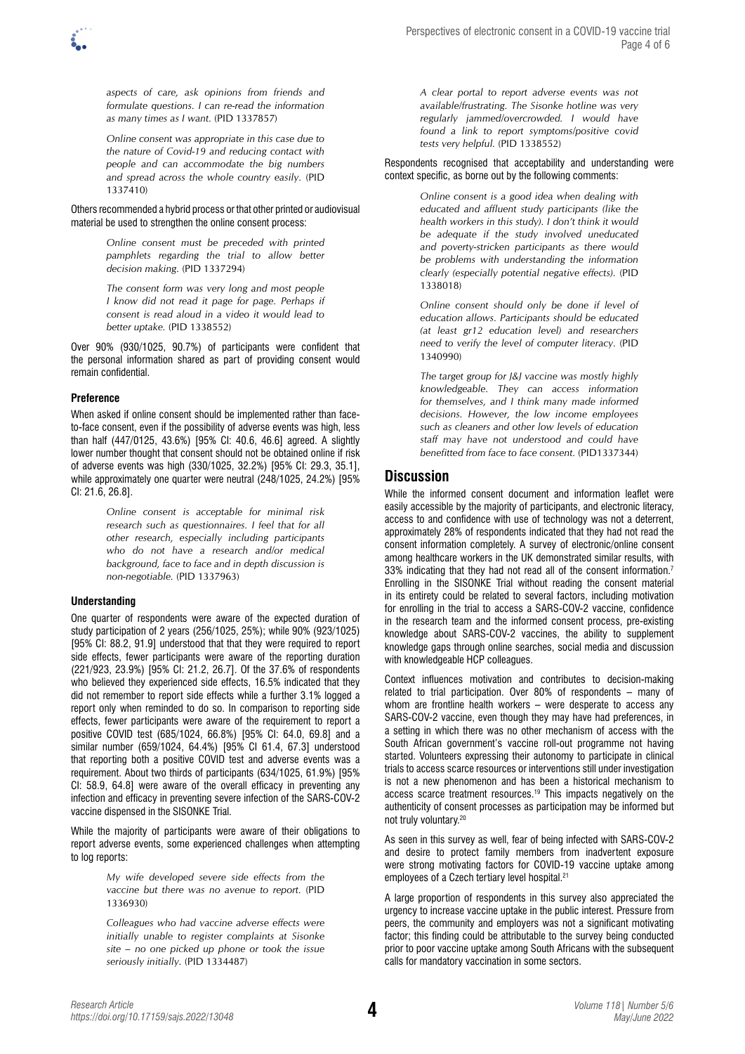

*aspects of care, ask opinions from friends and formulate questions. I can re-read the information as many times as I want.* (PID 1337857)

*Online consent was appropriate in this case due to the nature of Covid-19 and reducing contact with people and can accommodate the big numbers and spread across the whole country easily.* (PID 1337410)

Others recommended a hybrid process or that other printed or audiovisual material be used to strengthen the online consent process:

> *Online consent must be preceded with printed pamphlets regarding the trial to allow better decision making.* (PID 1337294)

> *The consent form was very long and most people I know did not read it page for page. Perhaps if consent is read aloud in a video it would lead to better uptake.* (PID 1338552)

Over 90% (930/1025, 90.7%) of participants were confident that the personal information shared as part of providing consent would remain confidential.

## **Preference**

When asked if online consent should be implemented rather than faceto-face consent, even if the possibility of adverse events was high, less than half (447/0125, 43.6%) [95% CI: 40.6, 46.6] agreed. A slightly lower number thought that consent should not be obtained online if risk of adverse events was high (330/1025, 32.2%) [95% CI: 29.3, 35.1], while approximately one quarter were neutral (248/1025, 24.2%) [95% CI: 21.6, 26.8].

> *Online consent is acceptable for minimal risk research such as questionnaires. I feel that for all other research, especially including participants who do not have a research and/or medical background, face to face and in depth discussion is non-negotiable.* (PID 1337963)

## **Understanding**

One quarter of respondents were aware of the expected duration of study participation of 2 years (256/1025, 25%); while 90% (923/1025) [95% CI: 88.2, 91.9] understood that that they were required to report side effects, fewer participants were aware of the reporting duration (221/923, 23.9%) [95% CI: 21.2, 26.7]. Of the 37.6% of respondents who believed they experienced side effects, 16.5% indicated that they did not remember to report side effects while a further 3.1% logged a report only when reminded to do so. In comparison to reporting side effects, fewer participants were aware of the requirement to report a positive COVID test (685/1024, 66.8%) [95% CI: 64.0, 69.8] and a similar number (659/1024, 64.4%) [95% CI 61.4, 67.3] understood that reporting both a positive COVID test and adverse events was a requirement. About two thirds of participants (634/1025, 61.9%) [95% CI: 58.9, 64.8] were aware of the overall efficacy in preventing any infection and efficacy in preventing severe infection of the SARS-COV-2 vaccine dispensed in the SISONKE Trial.

While the majority of participants were aware of their obligations to report adverse events, some experienced challenges when attempting to log reports:

> *My wife developed severe side effects from the vaccine but there was no avenue to report.* (PID 1336930)

> *Colleagues who had vaccine adverse effects were initially unable to register complaints at Sisonke site – no one picked up phone or took the issue seriously initially.* (PID 1334487)

*A clear portal to report adverse events was not available/frustrating. The Sisonke hotline was very regularly jammed/overcrowded. I would have found a link to report symptoms/positive covid tests very helpful.* (PID 1338552)

Respondents recognised that acceptability and understanding were context specific, as borne out by the following comments:

> *Online consent is a good idea when dealing with educated and affluent study participants (like the health workers in this study). I don't think it would be adequate if the study involved uneducated and poverty-stricken participants as there would be problems with understanding the information clearly (especially potential negative effects).* (PID 1338018)

> *Online consent should only be done if level of education allows. Participants should be educated (at least gr12 education level) and researchers need to verify the level of computer literacy.* (PID 1340990)

> *The target group for J&J vaccine was mostly highly knowledgeable. They can access information for themselves, and I think many made informed decisions. However, the low income employees such as cleaners and other low levels of education staff may have not understood and could have benefitted from face to face consent.* (PID1337344)

# **Discussion**

While the informed consent document and information leaflet were easily accessible by the majority of participants, and electronic literacy, access to and confidence with use of technology was not a deterrent, approximately 28% of respondents indicated that they had not read the consent information completely. A survey of electronic/online consent among healthcare workers in the UK demonstrated similar results, with 33% indicating that they had not read all of the consent information.<sup>7</sup> Enrolling in the SISONKE Trial without reading the consent material in its entirety could be related to several factors, including motivation for enrolling in the trial to access a SARS-COV-2 vaccine, confidence in the research team and the informed consent process, pre-existing knowledge about SARS-COV-2 vaccines, the ability to supplement knowledge gaps through online searches, social media and discussion with knowledgeable HCP colleagues.

Context influences motivation and contributes to decision-making related to trial participation. Over 80% of respondents – many of whom are frontline health workers – were desperate to access any SARS-COV-2 vaccine, even though they may have had preferences, in a setting in which there was no other mechanism of access with the South African government's vaccine roll-out programme not having started. Volunteers expressing their autonomy to participate in clinical trials to access scarce resources or interventions still under investigation is not a new phenomenon and has been a historical mechanism to access scarce treatment resources.19 This impacts negatively on the authenticity of consent processes as participation may be informed but not truly voluntary.20

As seen in this survey as well, fear of being infected with SARS-COV-2 and desire to protect family members from inadvertent exposure were strong motivating factors for COVID-19 vaccine uptake among employees of a Czech tertiary level hospital.<sup>21</sup>

A large proportion of respondents in this survey also appreciated the urgency to increase vaccine uptake in the public interest. Pressure from peers, the community and employers was not a significant motivating factor; this finding could be attributable to the survey being conducted prior to poor vaccine uptake among South Africans with the subsequent calls for mandatory vaccination in some sectors.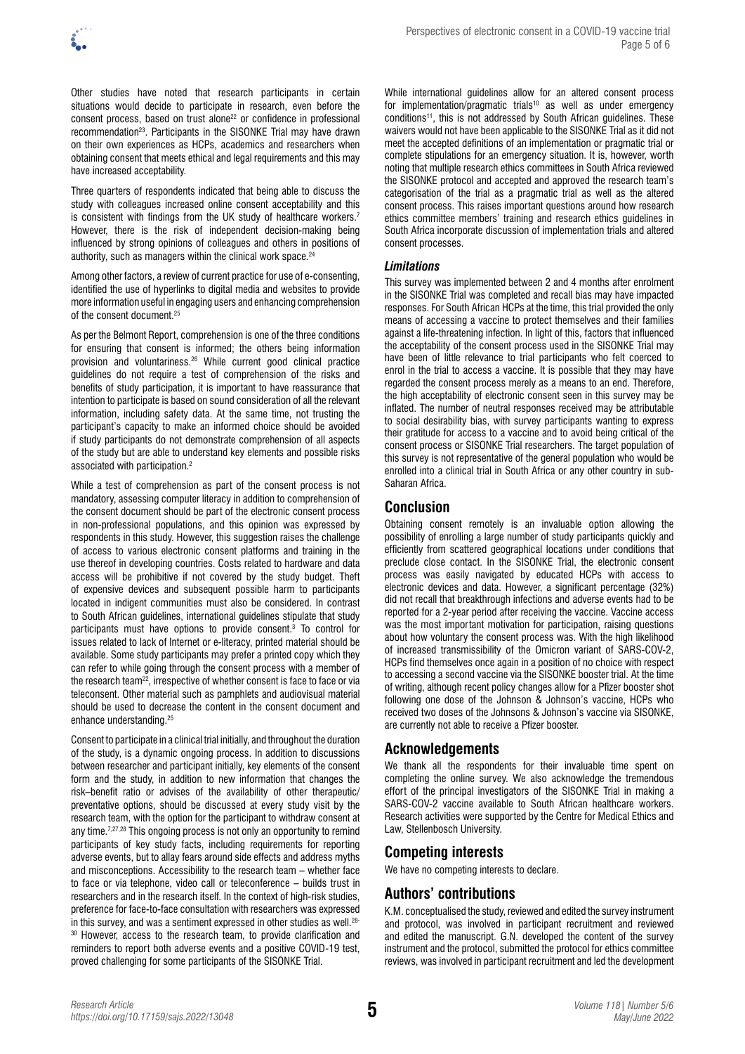Other studies have noted that research participants in certain situations would decide to participate in research, even before the consent process, based on trust alone<sup>22</sup> or confidence in professional recommendation23. Participants in the SISONKE Trial may have drawn on their own experiences as HCPs, academics and researchers when obtaining consent that meets ethical and legal requirements and this may have increased acceptability.

Three quarters of respondents indicated that being able to discuss the study with colleagues increased online consent acceptability and this is consistent with findings from the UK study of healthcare workers.<sup>7</sup> However, there is the risk of independent decision-making being influenced by strong opinions of colleagues and others in positions of authority, such as managers within the clinical work space.<sup>24</sup>

Among other factors, a review of current practice for use of e-consenting, identified the use of hyperlinks to digital media and websites to provide more information useful in engaging users and enhancing comprehension of the consent document.25

As per the Belmont Report, comprehension is one of the three conditions for ensuring that consent is informed; the others being information provision and voluntariness.26 While current good clinical practice guidelines do not require a test of comprehension of the risks and benefits of study participation, it is important to have reassurance that intention to participate is based on sound consideration of all the relevant information, including safety data. At the same time, not trusting the participant's capacity to make an informed choice should be avoided if study participants do not demonstrate comprehension of all aspects of the study but are able to understand key elements and possible risks associated with participation.2

While a test of comprehension as part of the consent process is not mandatory, assessing computer literacy in addition to comprehension of the consent document should be part of the electronic consent process in non-professional populations, and this opinion was expressed by respondents in this study. However, this suggestion raises the challenge of access to various electronic consent platforms and training in the use thereof in developing countries. Costs related to hardware and data access will be prohibitive if not covered by the study budget. Theft of expensive devices and subsequent possible harm to participants located in indigent communities must also be considered. In contrast to South African guidelines, international guidelines stipulate that study participants must have options to provide consent.3 To control for issues related to lack of Internet or e-literacy, printed material should be available. Some study participants may prefer a printed copy which they can refer to while going through the consent process with a member of the research team<sup>22</sup>, irrespective of whether consent is face to face or via teleconsent. Other material such as pamphlets and audiovisual material should be used to decrease the content in the consent document and enhance understanding.25

Consent to participate in a clinical trial initially, and throughout the duration of the study, is a dynamic ongoing process. In addition to discussions between researcher and participant initially, key elements of the consent form and the study, in addition to new information that changes the risk–benefit ratio or advises of the availability of other therapeutic/ preventative options, should be discussed at every study visit by the research team, with the option for the participant to withdraw consent at any time.<sup>7,27,28</sup> This ongoing process is not only an opportunity to remind participants of key study facts, including requirements for reporting adverse events, but to allay fears around side effects and address myths and misconceptions. Accessibility to the research team – whether face to face or via telephone, video call or teleconference – builds trust in researchers and in the research itself. In the context of high-risk studies, preference for face-to-face consultation with researchers was expressed in this survey, and was a sentiment expressed in other studies as well.<sup>28-</sup> <sup>30</sup> However, access to the research team, to provide clarification and reminders to report both adverse events and a positive COVID-19 test, proved challenging for some participants of the SISONKE Trial.

While international guidelines allow for an altered consent process for implementation/pragmatic trials<sup>10</sup> as well as under emergency conditions<sup>11</sup>, this is not addressed by South African guidelines. These waivers would not have been applicable to the SISONKE Trial as it did not meet the accepted definitions of an implementation or pragmatic trial or complete stipulations for an emergency situation. It is, however, worth noting that multiple research ethics committees in South Africa reviewed the SISONKE protocol and accepted and approved the research team's categorisation of the trial as a pragmatic trial as well as the altered consent process. This raises important questions around how research ethics committee members' training and research ethics guidelines in South Africa incorporate discussion of implementation trials and altered consent processes.

## *Limitations*

This survey was implemented between 2 and 4 months after enrolment in the SISONKE Trial was completed and recall bias may have impacted responses. For South African HCPs at the time, this trial provided the only means of accessing a vaccine to protect themselves and their families against a life-threatening infection. In light of this, factors that influenced the acceptability of the consent process used in the SISONKE Trial may have been of little relevance to trial participants who felt coerced to enrol in the trial to access a vaccine. It is possible that they may have regarded the consent process merely as a means to an end. Therefore, the high acceptability of electronic consent seen in this survey may be inflated. The number of neutral responses received may be attributable to social desirability bias, with survey participants wanting to express their gratitude for access to a vaccine and to avoid being critical of the consent process or SISONKE Trial researchers. The target population of this survey is not representative of the general population who would be enrolled into a clinical trial in South Africa or any other country in sub-Saharan Africa.

# **Conclusion**

Obtaining consent remotely is an invaluable option allowing the possibility of enrolling a large number of study participants quickly and efficiently from scattered geographical locations under conditions that preclude close contact. In the SISONKE Trial, the electronic consent process was easily navigated by educated HCPs with access to electronic devices and data. However, a significant percentage (32%) did not recall that breakthrough infections and adverse events had to be reported for a 2-year period after receiving the vaccine. Vaccine access was the most important motivation for participation, raising questions about how voluntary the consent process was. With the high likelihood of increased transmissibility of the Omicron variant of SARS-COV-2, HCPs find themselves once again in a position of no choice with respect to accessing a second vaccine via the SISONKE booster trial. At the time of writing, although recent policy changes allow for a Pfizer booster shot following one dose of the Johnson & Johnson's vaccine, HCPs who received two doses of the Johnsons & Johnson's vaccine via SISONKE, are currently not able to receive a Pfizer booster.

# **Acknowledgements**

We thank all the respondents for their invaluable time spent on completing the online survey. We also acknowledge the tremendous effort of the principal investigators of the SISONKE Trial in making a SARS-COV-2 vaccine available to South African healthcare workers. Research activities were supported by the Centre for Medical Ethics and Law, Stellenbosch University.

# **Competing interests**

We have no competing interests to declare.

# **Authors' contributions**

K.M. conceptualised the study, reviewed and edited the survey instrument and protocol, was involved in participant recruitment and reviewed and edited the manuscript. G.N. developed the content of the survey instrument and the protocol, submitted the protocol for ethics committee reviews, was involved in participant recruitment and led the development